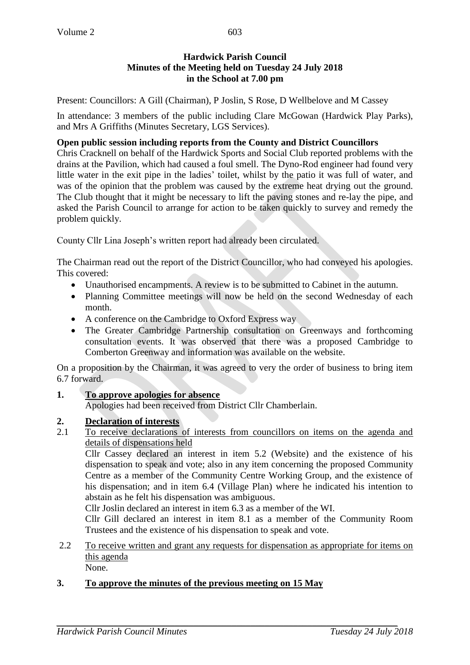## **Hardwick Parish Council Minutes of the Meeting held on Tuesday 24 July 2018 in the School at 7.00 pm**

Present: Councillors: A Gill (Chairman), P Joslin, S Rose, D Wellbelove and M Cassey

In attendance: 3 members of the public including Clare McGowan (Hardwick Play Parks), and Mrs A Griffiths (Minutes Secretary, LGS Services).

### **Open public session including reports from the County and District Councillors**

Chris Cracknell on behalf of the Hardwick Sports and Social Club reported problems with the drains at the Pavilion, which had caused a foul smell. The Dyno-Rod engineer had found very little water in the exit pipe in the ladies' toilet, whilst by the patio it was full of water, and was of the opinion that the problem was caused by the extreme heat drying out the ground. The Club thought that it might be necessary to lift the paving stones and re-lay the pipe, and asked the Parish Council to arrange for action to be taken quickly to survey and remedy the problem quickly.

County Cllr Lina Joseph's written report had already been circulated.

The Chairman read out the report of the District Councillor, who had conveyed his apologies. This covered:

- Unauthorised encampments. A review is to be submitted to Cabinet in the autumn.
- Planning Committee meetings will now be held on the second Wednesday of each month.
- A conference on the Cambridge to Oxford Express way
- The Greater Cambridge Partnership consultation on Greenways and forthcoming consultation events. It was observed that there was a proposed Cambridge to Comberton Greenway and information was available on the website.

On a proposition by the Chairman, it was agreed to very the order of business to bring item 6.7 forward.

**1. To approve apologies for absence**

Apologies had been received from District Cllr Chamberlain.

## **2. Declaration of interests**

2.1 To receive declarations of interests from councillors on items on the agenda and details of dispensations held

Cllr Cassey declared an interest in item 5.2 (Website) and the existence of his dispensation to speak and vote; also in any item concerning the proposed Community Centre as a member of the Community Centre Working Group, and the existence of his dispensation; and in item 6.4 (Village Plan) where he indicated his intention to abstain as he felt his dispensation was ambiguous.

Cllr Joslin declared an interest in item 6.3 as a member of the WI.

Cllr Gill declared an interest in item 8.1 as a member of the Community Room Trustees and the existence of his dispensation to speak and vote.

2.2 To receive written and grant any requests for dispensation as appropriate for items on this agenda

None.

## **3. To approve the minutes of the previous meeting on 15 May**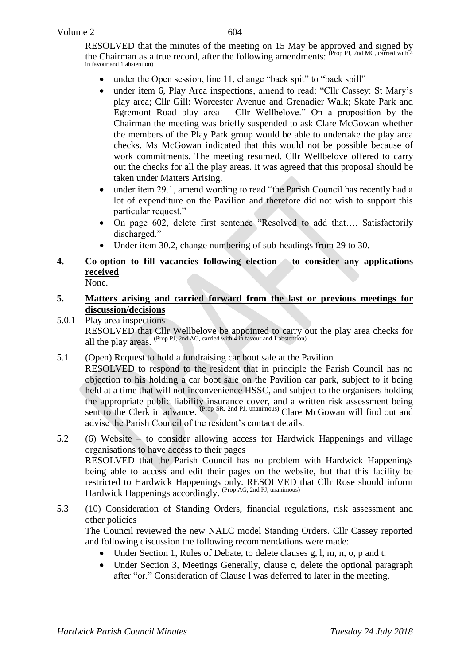RESOLVED that the minutes of the meeting on 15 May be approved and signed by the Chairman as a true record, after the following amendments:  $P_{\text{top}}$  PJ, 2nd MC, carried with 4 in favour and 1 abstention)

- under the Open session, line 11, change "back spit" to "back spill"
- under item 6, Play Area inspections, amend to read: "Cllr Cassey: St Mary's play area; Cllr Gill: Worcester Avenue and Grenadier Walk; Skate Park and Egremont Road play area – Cllr Wellbelove." On a proposition by the Chairman the meeting was briefly suspended to ask Clare McGowan whether the members of the Play Park group would be able to undertake the play area checks. Ms McGowan indicated that this would not be possible because of work commitments. The meeting resumed. Cllr Wellbelove offered to carry out the checks for all the play areas. It was agreed that this proposal should be taken under Matters Arising.
- under item 29.1, amend wording to read "the Parish Council has recently had a lot of expenditure on the Pavilion and therefore did not wish to support this particular request."
- On page 602, delete first sentence "Resolved to add that…. Satisfactorily discharged."
- Under item 30.2, change numbering of sub-headings from 29 to 30.

# **4. Co-option to fill vacancies following election – to consider any applications received**

# None.

- **5. Matters arising and carried forward from the last or previous meetings for discussion/decisions**
- 5.0.1 Play area inspections RESOLVED that Cllr Wellbelove be appointed to carry out the play area checks for all the play areas. (Prop PJ, 2nd AG, carried with 4 in favour and 1 abstention)
- 5.1 (Open) Request to hold a fundraising car boot sale at the Pavilion

RESOLVED to respond to the resident that in principle the Parish Council has no objection to his holding a car boot sale on the Pavilion car park, subject to it being held at a time that will not inconvenience HSSC, and subject to the organisers holding the appropriate public liability insurance cover, and a written risk assessment being sent to the Clerk in advance. <sup>(Prop SR, 2nd PJ, unanimous)</sup> Clare McGowan will find out and advise the Parish Council of the resident's contact details.

#### 5.2 (6) Website – to consider allowing access for Hardwick Happenings and village organisations to have access to their pages RESOLVED that the Parish Council has no problem with Hardwick Happenings being able to access and edit their pages on the website, but that this facility be restricted to Hardwick Happenings only. RESOLVED that Cllr Rose should inform

Hardwick Happenings accordingly. (Prop AG, 2nd PJ, unanimous) 5.3 (10) Consideration of Standing Orders, financial regulations, risk assessment and other policies

The Council reviewed the new NALC model Standing Orders. Cllr Cassey reported and following discussion the following recommendations were made:

- Under Section 1, Rules of Debate, to delete clauses g, l, m, n, o, p and t.
- Under Section 3, Meetings Generally, clause c, delete the optional paragraph after "or." Consideration of Clause l was deferred to later in the meeting.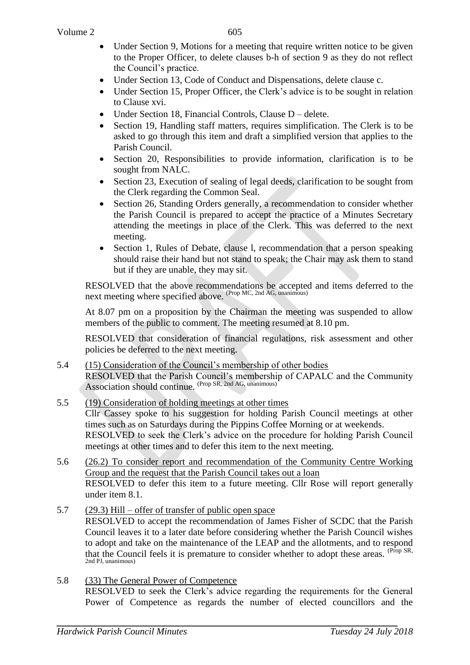- Under Section 9, Motions for a meeting that require written notice to be given to the Proper Officer, to delete clauses b-h of section 9 as they do not reflect the Council's practice.
- Under Section 13, Code of Conduct and Dispensations, delete clause c.
- Under Section 15, Proper Officer, the Clerk's advice is to be sought in relation to Clause xvi.
- Under Section 18, Financial Controls, Clause D delete.
- Section 19, Handling staff matters, requires simplification. The Clerk is to be asked to go through this item and draft a simplified version that applies to the Parish Council.
- Section 20, Responsibilities to provide information, clarification is to be sought from NALC.
- Section 23, Execution of sealing of legal deeds, clarification to be sought from the Clerk regarding the Common Seal.
- Section 26, Standing Orders generally, a recommendation to consider whether the Parish Council is prepared to accept the practice of a Minutes Secretary attending the meetings in place of the Clerk. This was deferred to the next meeting.
- Section 1, Rules of Debate, clause l, recommendation that a person speaking should raise their hand but not stand to speak; the Chair may ask them to stand but if they are unable, they may sit.

RESOLVED that the above recommendations be accepted and items deferred to the next meeting where specified above. <sup>(Prop MC, 2nd AG, unanimous)</sup>

At 8.07 pm on a proposition by the Chairman the meeting was suspended to allow members of the public to comment. The meeting resumed at 8.10 pm.

RESOLVED that consideration of financial regulations, risk assessment and other policies be deferred to the next meeting.

5.4 (15) Consideration of the Council's membership of other bodies RESOLVED that the Parish Council's membership of CAPALC and the Community Association should continue. (Prop SR, 2nd AG, unanimous)

#### 5.5 (19) Consideration of holding meetings at other times Cllr Cassey spoke to his suggestion for holding Parish Council meetings at other times such as on Saturdays during the Pippins Coffee Morning or at weekends. RESOLVED to seek the Clerk's advice on the procedure for holding Parish Council meetings at other times and to defer this item to the next meeting.

- 5.6 (26.2) To consider report and recommendation of the Community Centre Working Group and the request that the Parish Council takes out a loan RESOLVED to defer this item to a future meeting. Cllr Rose will report generally under item 8.1.
- 5.7 (29.3) Hill offer of transfer of public open space RESOLVED to accept the recommendation of James Fisher of SCDC that the Parish Council leaves it to a later date before considering whether the Parish Council wishes to adopt and take on the maintenance of the LEAP and the allotments, and to respond that the Council feels it is premature to consider whether to adopt these areas. <sup>(Prop SR,</sup> 2nd PJ, unanimous)
- 5.8 (33) The General Power of Competence RESOLVED to seek the Clerk's advice regarding the requirements for the General Power of Competence as regards the number of elected councillors and the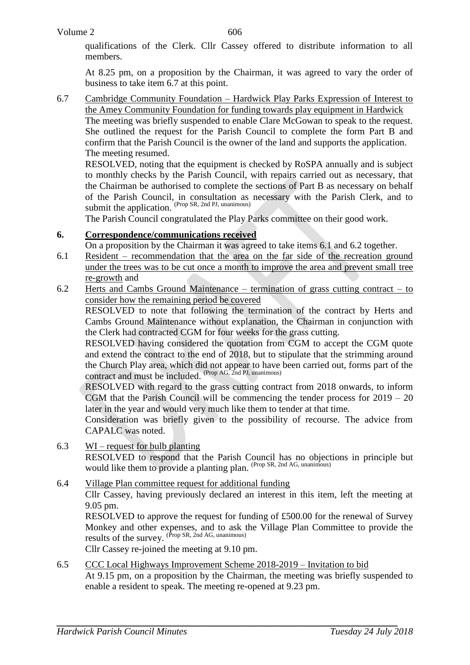qualifications of the Clerk. Cllr Cassey offered to distribute information to all members.

At 8.25 pm, on a proposition by the Chairman, it was agreed to vary the order of business to take item 6.7 at this point.

6.7 Cambridge Community Foundation – Hardwick Play Parks Expression of Interest to the Amey Community Foundation for funding towards play equipment in Hardwick

The meeting was briefly suspended to enable Clare McGowan to speak to the request. She outlined the request for the Parish Council to complete the form Part B and confirm that the Parish Council is the owner of the land and supports the application. The meeting resumed.

RESOLVED, noting that the equipment is checked by RoSPA annually and is subject to monthly checks by the Parish Council, with repairs carried out as necessary, that the Chairman be authorised to complete the sections of Part B as necessary on behalf of the Parish Council, in consultation as necessary with the Parish Clerk, and to submit the application. (Prop SR, 2nd PJ, unanimous)

The Parish Council congratulated the Play Parks committee on their good work.

# **6. Correspondence/communications received**

- On a proposition by the Chairman it was agreed to take items 6.1 and 6.2 together.
- 6.1 Resident recommendation that the area on the far side of the recreation ground under the trees was to be cut once a month to improve the area and prevent small tree re-growth and
- 6.2 Herts and Cambs Ground Maintenance termination of grass cutting contract to consider how the remaining period be covered

RESOLVED to note that following the termination of the contract by Herts and Cambs Ground Maintenance without explanation, the Chairman in conjunction with the Clerk had contracted CGM for four weeks for the grass cutting.

RESOLVED having considered the quotation from CGM to accept the CGM quote and extend the contract to the end of 2018, but to stipulate that the strimming around the Church Play area, which did not appear to have been carried out, forms part of the contract and must be included. (Prop AG, 2nd PJ, unanimous)

RESOLVED with regard to the grass cutting contract from 2018 onwards, to inform CGM that the Parish Council will be commencing the tender process for 2019 – 20 later in the year and would very much like them to tender at that time.

Consideration was briefly given to the possibility of recourse. The advice from CAPALC was noted.

- 6.3 WI request for bulb planting RESOLVED to respond that the Parish Council has no objections in principle but would like them to provide a planting plan. (Prop SR, 2nd AG, unanimous)
- 6.4 Village Plan committee request for additional funding Cllr Cassey, having previously declared an interest in this item, left the meeting at 9.05 pm.

RESOLVED to approve the request for funding of £500.00 for the renewal of Survey Monkey and other expenses, and to ask the Village Plan Committee to provide the results of the survey. <sup>(Prop SR, 2nd AG, unanimous)</sup>

Cllr Cassey re-joined the meeting at 9.10 pm.

6.5 CCC Local Highways Improvement Scheme 2018-2019 – Invitation to bid At 9.15 pm, on a proposition by the Chairman, the meeting was briefly suspended to enable a resident to speak. The meeting re-opened at 9.23 pm.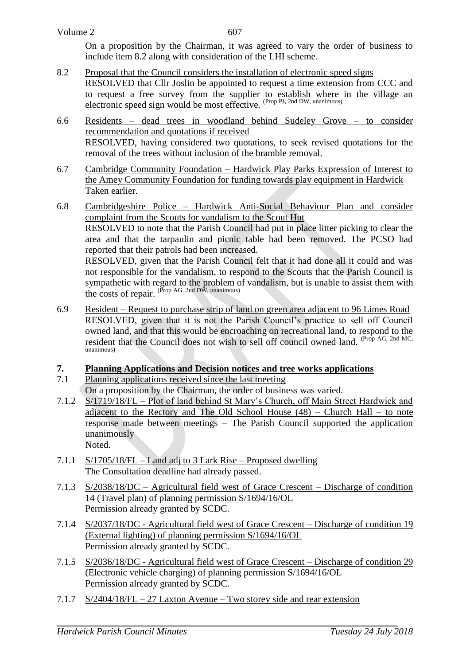On a proposition by the Chairman, it was agreed to vary the order of business to include item 8.2 along with consideration of the LHI scheme.

- 8.2 Proposal that the Council considers the installation of electronic speed signs RESOLVED that Cllr Joslin be appointed to request a time extension from CCC and to request a free survey from the supplier to establish where in the village an electronic speed sign would be most effective. (Prop PJ, 2nd DW, unanimous)
- 6.6 Residents dead trees in woodland behind Sudeley Grove to consider recommendation and quotations if received RESOLVED, having considered two quotations, to seek revised quotations for the removal of the trees without inclusion of the bramble removal.
- 6.7 Cambridge Community Foundation Hardwick Play Parks Expression of Interest to the Amey Community Foundation for funding towards play equipment in Hardwick Taken earlier.
- 6.8 Cambridgeshire Police Hardwick Anti-Social Behaviour Plan and consider complaint from the Scouts for vandalism to the Scout Hut RESOLVED to note that the Parish Council had put in place litter picking to clear the area and that the tarpaulin and picnic table had been removed. The PCSO had reported that their patrols had been increased. RESOLVED, given that the Parish Council felt that it had done all it could and was not responsible for the vandalism, to respond to the Scouts that the Parish Council is sympathetic with regard to the problem of vandalism, but is unable to assist them with the costs of repair. (Prop AG, 2nd DW, unanimous)
- 6.9 Resident Request to purchase strip of land on green area adjacent to 96 Limes Road RESOLVED, given that it is not the Parish Council's practice to sell off Council owned land, and that this would be encroaching on recreational land, to respond to the resident that the Council does not wish to sell off council owned land. (Prop AG, 2nd MC, unanimous)

# **7. Planning Applications and Decision notices and tree works applications**

- 7.1 Planning applications received since the last meeting On a proposition by the Chairman, the order of business was varied.
- 7.1.2 S/1719/18/FL Plot of land behind St Mary's Church, off Main Street Hardwick and adjacent to the Rectory and The Old School House  $(48)$  – Church Hall – to note response made between meetings – The Parish Council supported the application unanimously Noted.
- 7.1.1 S/1705/18/FL Land adj to 3 Lark Rise Proposed dwelling The Consultation deadline had already passed.
- 7.1.3 S/2038/18/DC Agricultural field west of Grace Crescent Discharge of condition 14 (Travel plan) of planning permission S/1694/16/OL Permission already granted by SCDC.
- 7.1.4 S/2037/18/DC Agricultural field west of Grace Crescent Discharge of condition 19 (External lighting) of planning permission S/1694/16/OL Permission already granted by SCDC.
- 7.1.5 S/2036/18/DC Agricultural field west of Grace Crescent Discharge of condition 29 (Electronic vehicle charging) of planning permission S/1694/16/OL Permission already granted by SCDC.
- 7.1.7 S/2404/18/FL 27 Laxton Avenue Two storey side and rear extension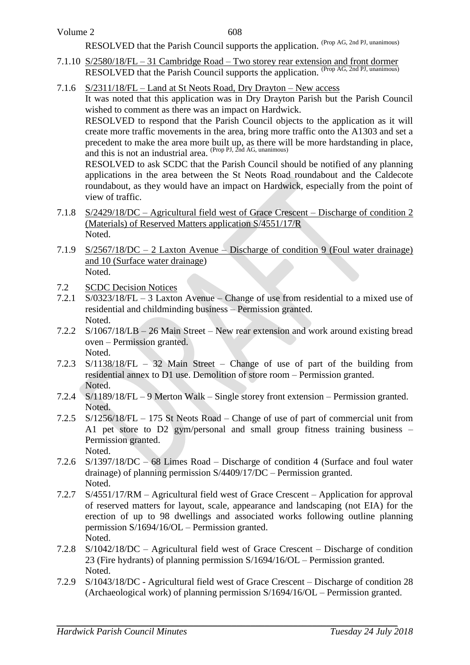RESOLVED that the Parish Council supports the application. (Prop AG, 2nd PJ, unanimous)

- 7.1.10 S/2580/18/FL 31 Cambridge Road Two storey rear extension and front dormer RESOLVED that the Parish Council supports the application. (Prop AG, 2nd PJ, unanimous)
- 7.1.6 S/2311/18/FL Land at St Neots Road, Dry Drayton New access

It was noted that this application was in Dry Drayton Parish but the Parish Council wished to comment as there was an impact on Hardwick.

RESOLVED to respond that the Parish Council objects to the application as it will create more traffic movements in the area, bring more traffic onto the A1303 and set a precedent to make the area more built up, as there will be more hardstanding in place, and this is not an industrial area. (Prop PJ, 2nd AG, unanimous)

RESOLVED to ask SCDC that the Parish Council should be notified of any planning applications in the area between the St Neots Road roundabout and the Caldecote roundabout, as they would have an impact on Hardwick, especially from the point of view of traffic.

- 7.1.8 S/2429/18/DC Agricultural field west of Grace Crescent Discharge of condition 2 (Materials) of Reserved Matters application S/4551/17/R Noted.
- 7.1.9 S/2567/18/DC 2 Laxton Avenue Discharge of condition 9 (Foul water drainage) and 10 (Surface water drainage) Noted.
- 7.2 SCDC Decision Notices
- 7.2.1 S/0323/18/FL 3 Laxton Avenue Change of use from residential to a mixed use of residential and childminding business – Permission granted. Noted.
- 7.2.2 S/1067/18/LB 26 Main Street New rear extension and work around existing bread oven – Permission granted. Noted.
- 7.2.3 S/1138/18/FL 32 Main Street Change of use of part of the building from residential annex to D1 use. Demolition of store room – Permission granted. Noted.
- 7.2.4 S/1189/18/FL 9 Merton Walk Single storey front extension Permission granted. Noted.
- 7.2.5 S/1256/18/FL 175 St Neots Road Change of use of part of commercial unit from A1 pet store to D2 gym/personal and small group fitness training business – Permission granted. Noted.
- 7.2.6 S/1397/18/DC 68 Limes Road Discharge of condition 4 (Surface and foul water drainage) of planning permission S/4409/17/DC – Permission granted. Noted.
- 7.2.7 S/4551/17/RM Agricultural field west of Grace Crescent Application for approval of reserved matters for layout, scale, appearance and landscaping (not EIA) for the erection of up to 98 dwellings and associated works following outline planning permission S/1694/16/OL – Permission granted. Noted.
- 7.2.8 S/1042/18/DC Agricultural field west of Grace Crescent Discharge of condition 23 (Fire hydrants) of planning permission S/1694/16/OL – Permission granted. Noted.
- 7.2.9 S/1043/18/DC Agricultural field west of Grace Crescent Discharge of condition 28 (Archaeological work) of planning permission S/1694/16/OL – Permission granted.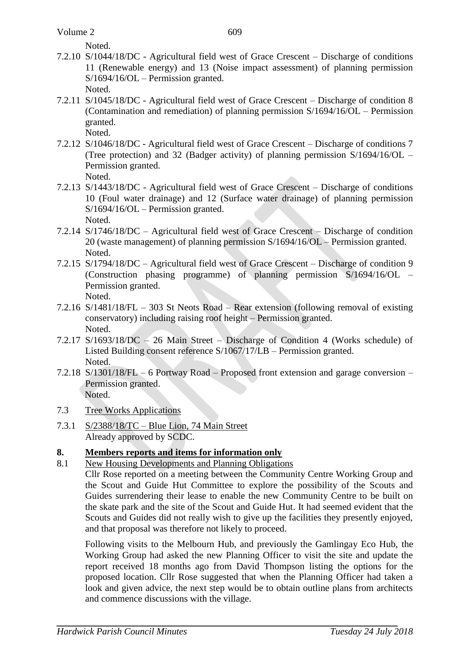Noted.

- 7.2.10 S/1044/18/DC Agricultural field west of Grace Crescent Discharge of conditions 11 (Renewable energy) and 13 (Noise impact assessment) of planning permission S/1694/16/OL – Permission granted. Noted.
- 7.2.11 S/1045/18/DC Agricultural field west of Grace Crescent Discharge of condition 8 (Contamination and remediation) of planning permission S/1694/16/OL – Permission granted. Noted.
- 7.2.12 S/1046/18/DC Agricultural field west of Grace Crescent Discharge of conditions 7 (Tree protection) and 32 (Badger activity) of planning permission S/1694/16/OL – Permission granted.

Noted.

- 7.2.13 S/1443/18/DC Agricultural field west of Grace Crescent Discharge of conditions 10 (Foul water drainage) and 12 (Surface water drainage) of planning permission S/1694/16/OL – Permission granted. Noted.
- 7.2.14 S/1746/18/DC Agricultural field west of Grace Crescent Discharge of condition 20 (waste management) of planning permission S/1694/16/OL – Permission granted. Noted.
- 7.2.15 S/1794/18/DC Agricultural field west of Grace Crescent Discharge of condition 9 (Construction phasing programme) of planning permission S/1694/16/OL – Permission granted. Noted.
- 7.2.16 S/1481/18/FL 303 St Neots Road Rear extension (following removal of existing conservatory) including raising roof height – Permission granted. Noted.
- 7.2.17 S/1693/18/DC 26 Main Street Discharge of Condition 4 (Works schedule) of Listed Building consent reference S/1067/17/LB – Permission granted. Noted.
- 7.2.18 S/1301/18/FL 6 Portway Road Proposed front extension and garage conversion Permission granted. Noted.
- 7.3 Tree Works Applications
- 7.3.1 S/2388/18/TC Blue Lion, 74 Main Street Already approved by SCDC.

# **8. Members reports and items for information only**

8.1 New Housing Developments and Planning Obligations

Cllr Rose reported on a meeting between the Community Centre Working Group and the Scout and Guide Hut Committee to explore the possibility of the Scouts and Guides surrendering their lease to enable the new Community Centre to be built on the skate park and the site of the Scout and Guide Hut. It had seemed evident that the Scouts and Guides did not really wish to give up the facilities they presently enjoyed, and that proposal was therefore not likely to proceed.

Following visits to the Melbourn Hub, and previously the Gamlingay Eco Hub, the Working Group had asked the new Planning Officer to visit the site and update the report received 18 months ago from David Thompson listing the options for the proposed location. Cllr Rose suggested that when the Planning Officer had taken a look and given advice, the next step would be to obtain outline plans from architects and commence discussions with the village.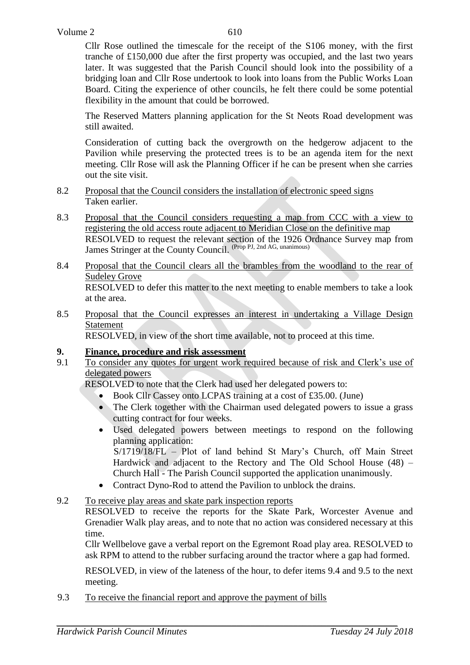Cllr Rose outlined the timescale for the receipt of the S106 money, with the first tranche of £150,000 due after the first property was occupied, and the last two years later. It was suggested that the Parish Council should look into the possibility of a bridging loan and Cllr Rose undertook to look into loans from the Public Works Loan Board. Citing the experience of other councils, he felt there could be some potential flexibility in the amount that could be borrowed.

The Reserved Matters planning application for the St Neots Road development was still awaited.

Consideration of cutting back the overgrowth on the hedgerow adjacent to the Pavilion while preserving the protected trees is to be an agenda item for the next meeting. Cllr Rose will ask the Planning Officer if he can be present when she carries out the site visit.

- 8.2 Proposal that the Council considers the installation of electronic speed signs Taken earlier.
- 8.3 Proposal that the Council considers requesting a map from CCC with a view to registering the old access route adjacent to Meridian Close on the definitive map RESOLVED to request the relevant section of the 1926 Ordnance Survey map from James Stringer at the County Council. (Prop PJ, 2nd AG, unanimous)
- 8.4 Proposal that the Council clears all the brambles from the woodland to the rear of Sudeley Grove RESOLVED to defer this matter to the next meeting to enable members to take a look at the area.
- 8.5 Proposal that the Council expresses an interest in undertaking a Village Design Statement

RESOLVED, in view of the short time available, not to proceed at this time.

# **9. Finance, procedure and risk assessment**

9.1 To consider any quotes for urgent work required because of risk and Clerk's use of delegated powers

RESOLVED to note that the Clerk had used her delegated powers to:

- Book Cllr Cassey onto LCPAS training at a cost of £35.00. (June)
- The Clerk together with the Chairman used delegated powers to issue a grass cutting contract for four weeks.
- Used delegated powers between meetings to respond on the following planning application:

S/1719/18/FL – Plot of land behind St Mary's Church, off Main Street Hardwick and adjacent to the Rectory and The Old School House (48) – Church Hall - The Parish Council supported the application unanimously.

- Contract Dyno-Rod to attend the Pavilion to unblock the drains.
- 9.2 To receive play areas and skate park inspection reports

RESOLVED to receive the reports for the Skate Park, Worcester Avenue and Grenadier Walk play areas, and to note that no action was considered necessary at this time.

Cllr Wellbelove gave a verbal report on the Egremont Road play area. RESOLVED to ask RPM to attend to the rubber surfacing around the tractor where a gap had formed.

RESOLVED, in view of the lateness of the hour, to defer items 9.4 and 9.5 to the next meeting.

9.3 To receive the financial report and approve the payment of bills